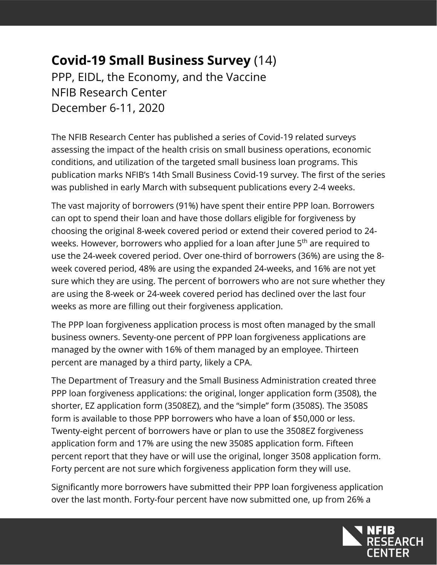## **Covid-19 Small Business Survey** (14) PPP, EIDL, the Economy, and the Vaccine NFIB Research Center December 6-11, 2020

The NFIB Research Center has published a series of Covid-19 related surveys assessing the impact of the health crisis on small business operations, economic conditions, and utilization of the targeted small business loan programs. This publication marks NFIB's 14th Small Business Covid-19 survey. The first of the series was published in early March with subsequent publications every 2-4 weeks.

The vast majority of borrowers (91%) have spent their entire PPP loan. Borrowers can opt to spend their loan and have those dollars eligible for forgiveness by choosing the original 8-week covered period or extend their covered period to 24 weeks. However, borrowers who applied for a loan after June 5<sup>th</sup> are required to use the 24-week covered period. Over one-third of borrowers (36%) are using the 8 week covered period, 48% are using the expanded 24-weeks, and 16% are not yet sure which they are using. The percent of borrowers who are not sure whether they are using the 8-week or 24-week covered period has declined over the last four weeks as more are filling out their forgiveness application.

The PPP loan forgiveness application process is most often managed by the small business owners. Seventy-one percent of PPP loan forgiveness applications are managed by the owner with 16% of them managed by an employee. Thirteen percent are managed by a third party, likely a CPA.

The Department of Treasury and the Small Business Administration created three PPP loan forgiveness applications: the original, longer application form (3508), the shorter, EZ application form (3508EZ), and the "simple" form (3508S). The 3508S form is available to those PPP borrowers who have a loan of \$50,000 or less. Twenty-eight percent of borrowers have or plan to use the 3508EZ forgiveness application form and 17% are using the new 3508S application form. Fifteen percent report that they have or will use the original, longer 3508 application form. Forty percent are not sure which forgiveness application form they will use.

Significantly more borrowers have submitted their PPP loan forgiveness application over the last month. Forty-four percent have now submitted one, up from 26% a

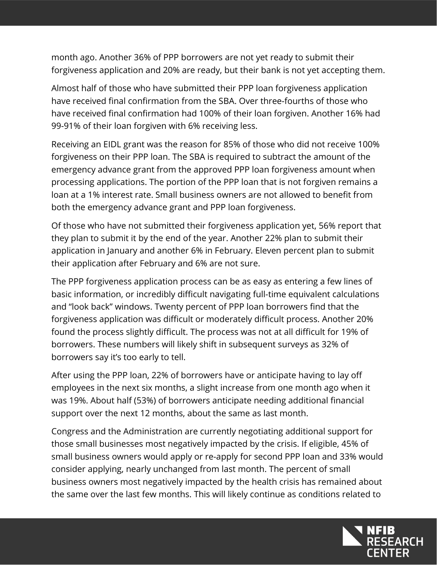month ago. Another 36% of PPP borrowers are not yet ready to submit their forgiveness application and 20% are ready, but their bank is not yet accepting them.

Almost half of those who have submitted their PPP loan forgiveness application have received final confirmation from the SBA. Over three-fourths of those who have received final confirmation had 100% of their loan forgiven. Another 16% had 99-91% of their loan forgiven with 6% receiving less.

Receiving an EIDL grant was the reason for 85% of those who did not receive 100% forgiveness on their PPP loan. The SBA is required to subtract the amount of the emergency advance grant from the approved PPP loan forgiveness amount when processing applications. The portion of the PPP loan that is not forgiven remains a loan at a 1% interest rate. Small business owners are not allowed to benefit from both the emergency advance grant and PPP loan forgiveness.

Of those who have not submitted their forgiveness application yet, 56% report that they plan to submit it by the end of the year. Another 22% plan to submit their application in January and another 6% in February. Eleven percent plan to submit their application after February and 6% are not sure.

The PPP forgiveness application process can be as easy as entering a few lines of basic information, or incredibly difficult navigating full-time equivalent calculations and "look back" windows. Twenty percent of PPP loan borrowers find that the forgiveness application was difficult or moderately difficult process. Another 20% found the process slightly difficult. The process was not at all difficult for 19% of borrowers. These numbers will likely shift in subsequent surveys as 32% of borrowers say it's too early to tell.

After using the PPP loan, 22% of borrowers have or anticipate having to lay off employees in the next six months, a slight increase from one month ago when it was 19%. About half (53%) of borrowers anticipate needing additional financial support over the next 12 months, about the same as last month.

Congress and the Administration are currently negotiating additional support for those small businesses most negatively impacted by the crisis. If eligible, 45% of small business owners would apply or re-apply for second PPP loan and 33% would consider applying, nearly unchanged from last month. The percent of small business owners most negatively impacted by the health crisis has remained about the same over the last few months. This will likely continue as conditions related to

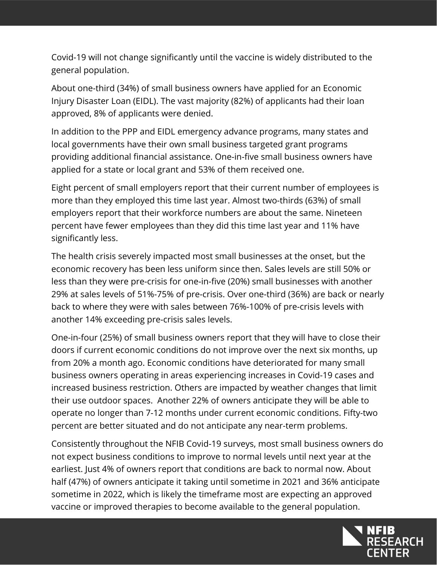Covid-19 will not change significantly until the vaccine is widely distributed to the general population.

About one-third (34%) of small business owners have applied for an Economic Injury Disaster Loan (EIDL). The vast majority (82%) of applicants had their loan approved, 8% of applicants were denied.

In addition to the PPP and EIDL emergency advance programs, many states and local governments have their own small business targeted grant programs providing additional financial assistance. One-in-five small business owners have applied for a state or local grant and 53% of them received one.

Eight percent of small employers report that their current number of employees is more than they employed this time last year. Almost two-thirds (63%) of small employers report that their workforce numbers are about the same. Nineteen percent have fewer employees than they did this time last year and 11% have significantly less.

The health crisis severely impacted most small businesses at the onset, but the economic recovery has been less uniform since then. Sales levels are still 50% or less than they were pre-crisis for one-in-five (20%) small businesses with another 29% at sales levels of 51%-75% of pre-crisis. Over one-third (36%) are back or nearly back to where they were with sales between 76%-100% of pre-crisis levels with another 14% exceeding pre-crisis sales levels.

One-in-four (25%) of small business owners report that they will have to close their doors if current economic conditions do not improve over the next six months, up from 20% a month ago. Economic conditions have deteriorated for many small business owners operating in areas experiencing increases in Covid-19 cases and increased business restriction. Others are impacted by weather changes that limit their use outdoor spaces. Another 22% of owners anticipate they will be able to operate no longer than 7-12 months under current economic conditions. Fifty-two percent are better situated and do not anticipate any near-term problems.

Consistently throughout the NFIB Covid-19 surveys, most small business owners do not expect business conditions to improve to normal levels until next year at the earliest. Just 4% of owners report that conditions are back to normal now. About half (47%) of owners anticipate it taking until sometime in 2021 and 36% anticipate sometime in 2022, which is likely the timeframe most are expecting an approved vaccine or improved therapies to become available to the general population.

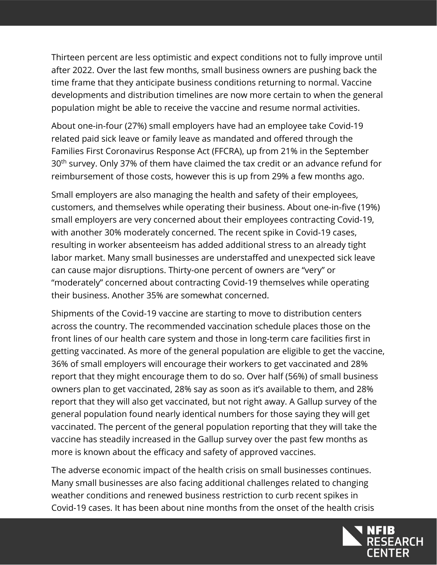Thirteen percent are less optimistic and expect conditions not to fully improve until after 2022. Over the last few months, small business owners are pushing back the time frame that they anticipate business conditions returning to normal. Vaccine developments and distribution timelines are now more certain to when the general population might be able to receive the vaccine and resume normal activities.

About one-in-four (27%) small employers have had an employee take Covid-19 related paid sick leave or family leave as mandated and offered through the Families First Coronavirus Response Act (FFCRA), up from 21% in the September 30<sup>th</sup> survey. Only 37% of them have claimed the tax credit or an advance refund for reimbursement of those costs, however this is up from 29% a few months ago.

Small employers are also managing the health and safety of their employees, customers, and themselves while operating their business. About one-in-five (19%) small employers are very concerned about their employees contracting Covid-19, with another 30% moderately concerned. The recent spike in Covid-19 cases, resulting in worker absenteeism has added additional stress to an already tight labor market. Many small businesses are understaffed and unexpected sick leave can cause major disruptions. Thirty-one percent of owners are "very" or "moderately" concerned about contracting Covid-19 themselves while operating their business. Another 35% are somewhat concerned.

Shipments of the Covid-19 vaccine are starting to move to distribution centers across the country. The recommended vaccination schedule places those on the front lines of our health care system and those in long-term care facilities first in getting vaccinated. As more of the general population are eligible to get the vaccine, 36% of small employers will encourage their workers to get vaccinated and 28% report that they might encourage them to do so. Over half (56%) of small business owners plan to get vaccinated, 28% say as soon as it's available to them, and 28% report that they will also get vaccinated, but not right away. A Gallup survey of the general population found nearly identical numbers for those saying they will get vaccinated. The percent of the general population reporting that they will take the vaccine has steadily increased in the Gallup survey over the past few months as more is known about the efficacy and safety of approved vaccines.

The adverse economic impact of the health crisis on small businesses continues. Many small businesses are also facing additional challenges related to changing weather conditions and renewed business restriction to curb recent spikes in Covid-19 cases. It has been about nine months from the onset of the health crisis

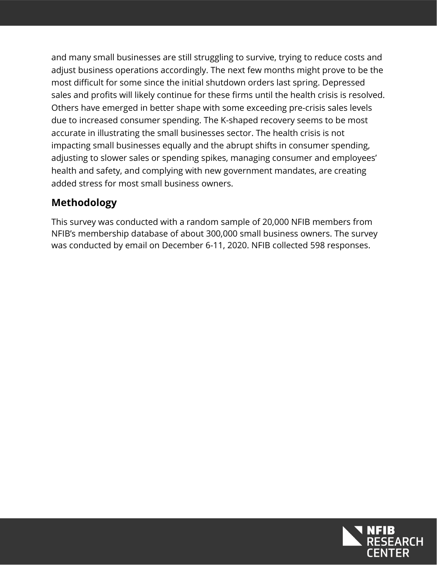and many small businesses are still struggling to survive, trying to reduce costs and adjust business operations accordingly. The next few months might prove to be the most difficult for some since the initial shutdown orders last spring. Depressed sales and profits will likely continue for these firms until the health crisis is resolved. Others have emerged in better shape with some exceeding pre-crisis sales levels due to increased consumer spending. The K-shaped recovery seems to be most accurate in illustrating the small businesses sector. The health crisis is not impacting small businesses equally and the abrupt shifts in consumer spending, adjusting to slower sales or spending spikes, managing consumer and employees' health and safety, and complying with new government mandates, are creating added stress for most small business owners.

## **Methodology**

This survey was conducted with a random sample of 20,000 NFIB members from NFIB's membership database of about 300,000 small business owners. The survey was conducted by email on December 6-11, 2020. NFIB collected 598 responses.

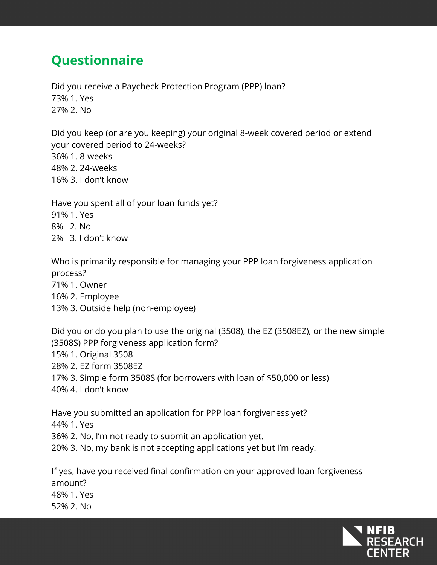## **Questionnaire**

Did you receive a Paycheck Protection Program (PPP) loan? 73% 1. Yes 27% 2. No

Did you keep (or are you keeping) your original 8-week covered period or extend your covered period to 24-weeks? 36% 1. 8-weeks 48% 2. 24-weeks 16% 3. I don't know

Have you spent all of your loan funds yet?

- 91% 1. Yes
- 8% 2. No
- 2% 3. I don't know

Who is primarily responsible for managing your PPP loan forgiveness application process?

- 71% 1. Owner
- 16% 2. Employee
- 13% 3. Outside help (non-employee)

Did you or do you plan to use the original (3508), the EZ (3508EZ), or the new simple (3508S) PPP forgiveness application form?

- 15% 1. Original 3508
- 28% 2. EZ form 3508EZ
- 17% 3. Simple form 3508S (for borrowers with loan of \$50,000 or less)
- 40% 4. I don't know

Have you submitted an application for PPP loan forgiveness yet?

- 44% 1. Yes
- 36% 2. No, I'm not ready to submit an application yet.
- 20% 3. No, my bank is not accepting applications yet but I'm ready.

If yes, have you received final confirmation on your approved loan forgiveness amount? 48% 1. Yes 52% 2. No

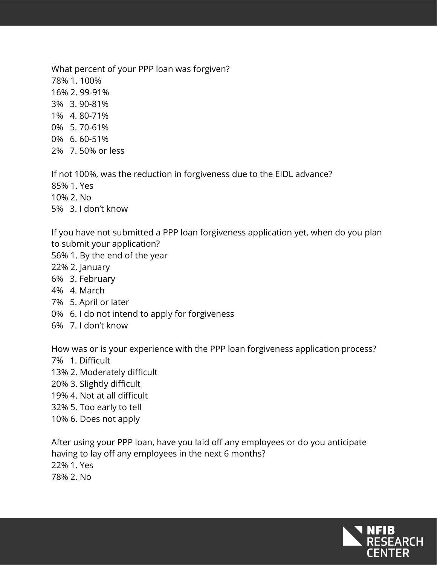What percent of your PPP loan was forgiven? 78% 1. 100% 16% 2. 99-91% 3% 3. 90-81% 1% 4. 80-71% 0% 5. 70-61% 0% 6. 60-51%

2% 7. 50% or less

If not 100%, was the reduction in forgiveness due to the EIDL advance?

85% 1. Yes

10% 2. No

5% 3. I don't know

If you have not submitted a PPP loan forgiveness application yet, when do you plan to submit your application?

- 56% 1. By the end of the year
- 22% 2. January
- 6% 3. February
- 4% 4. March
- 7% 5. April or later
- 0% 6. I do not intend to apply for forgiveness
- 6% 7. I don't know

How was or is your experience with the PPP loan forgiveness application process?

- 7% 1. Difficult
- 13% 2. Moderately difficult
- 20% 3. Slightly difficult
- 19% 4. Not at all difficult
- 32% 5. Too early to tell
- 10% 6. Does not apply

After using your PPP loan, have you laid off any employees or do you anticipate having to lay off any employees in the next 6 months? 22% 1. Yes 78% 2. No

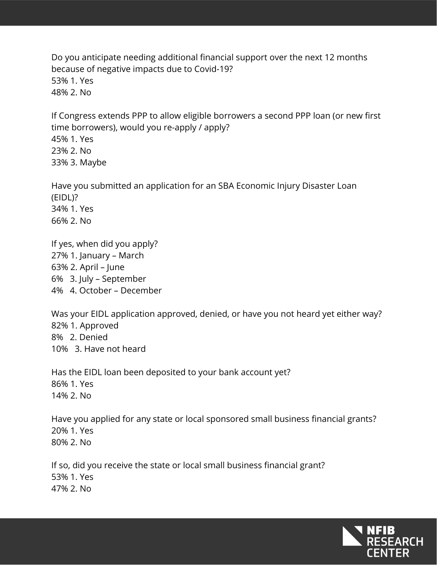Do you anticipate needing additional financial support over the next 12 months because of negative impacts due to Covid-19? 53% 1. Yes 48% 2. No

If Congress extends PPP to allow eligible borrowers a second PPP loan (or new first time borrowers), would you re-apply / apply?

45% 1. Yes 23% 2. No 33% 3. Maybe

Have you submitted an application for an SBA Economic Injury Disaster Loan (EIDL)? 34% 1. Yes 66% 2. No

If yes, when did you apply? 27% 1. January – March 63% 2. April – June 6% 3. July – September 4% 4. October – December

Was your EIDL application approved, denied, or have you not heard yet either way? 82% 1. Approved 8% 2. Denied 10% 3. Have not heard

Has the EIDL loan been deposited to your bank account yet? 86% 1. Yes 14% 2. No

Have you applied for any state or local sponsored small business financial grants? 20% 1. Yes 80% 2. No

If so, did you receive the state or local small business financial grant? 53% 1. Yes 47% 2. No

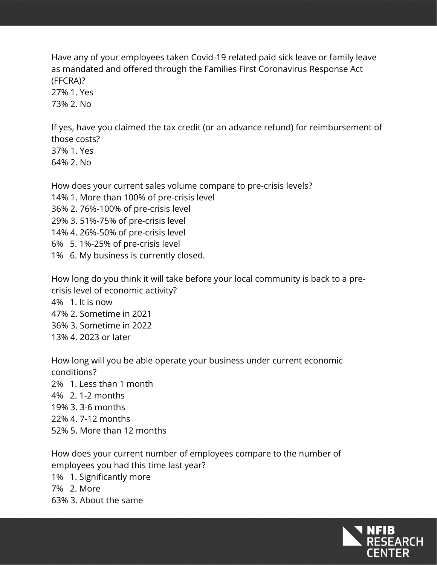Have any of your employees taken Covid-19 related paid sick leave or family leave as mandated and offered through the Families First Coronavirus Response Act (FFCRA)?

27% 1. Yes 73% 2. No

If yes, have you claimed the tax credit (or an advance refund) for reimbursement of those costs? 37% 1. Yes

64% 2. No

How does your current sales volume compare to pre-crisis levels?

14% 1. More than 100% of pre-crisis level

36% 2. 76%-100% of pre-crisis level

29% 3. 51%-75% of pre-crisis level

14% 4. 26%-50% of pre-crisis level

6% 5. 1%-25% of pre-crisis level

1% 6. My business is currently closed.

How long do you think it will take before your local community is back to a precrisis level of economic activity?

4% 1. It is now 47% 2. Sometime in 2021 36% 3. Sometime in 2022 13% 4. 2023 or later

How long will you be able operate your business under current economic conditions? 2% 1. Less than 1 month 4% 2. 1-2 months 19% 3. 3-6 months 22% 4. 7-12 months 52% 5. More than 12 months

How does your current number of employees compare to the number of employees you had this time last year? 1% 1. Significantly more 7% 2. More 63% 3. About the same

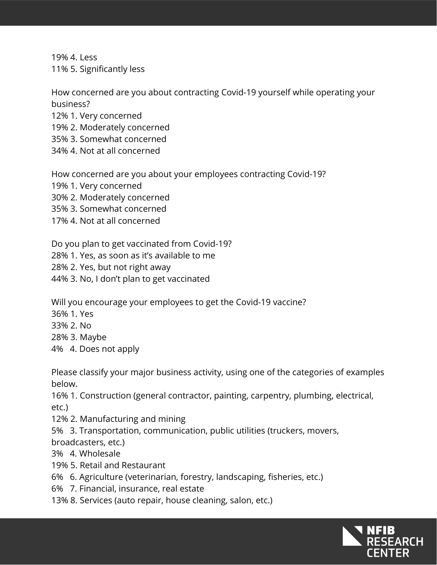19% 4. Less 11% 5. Significantly less

How concerned are you about contracting Covid-19 yourself while operating your business?

12% 1. Very concerned

19% 2. Moderately concerned

35% 3. Somewhat concerned

34% 4. Not at all concerned

How concerned are you about your employees contracting Covid-19?

19% 1. Very concerned

30% 2. Moderately concerned

35% 3. Somewhat concerned

17% 4. Not at all concerned

Do you plan to get vaccinated from Covid-19?

28% 1. Yes, as soon as it's available to me

28% 2. Yes, but not right away

44% 3. No, I don't plan to get vaccinated

Will you encourage your employees to get the Covid-19 vaccine?

36% 1. Yes

33% 2. No

28% 3. Maybe

4% 4. Does not apply

Please classify your major business activity, using one of the categories of examples below.

16% 1. Construction (general contractor, painting, carpentry, plumbing, electrical, etc.)

12% 2. Manufacturing and mining

5% 3. Transportation, communication, public utilities (truckers, movers,

broadcasters, etc.)

3% 4. Wholesale

19% 5. Retail and Restaurant

6% 6. Agriculture (veterinarian, forestry, landscaping, fisheries, etc.)

6% 7. Financial, insurance, real estate

13% 8. Services (auto repair, house cleaning, salon, etc.)